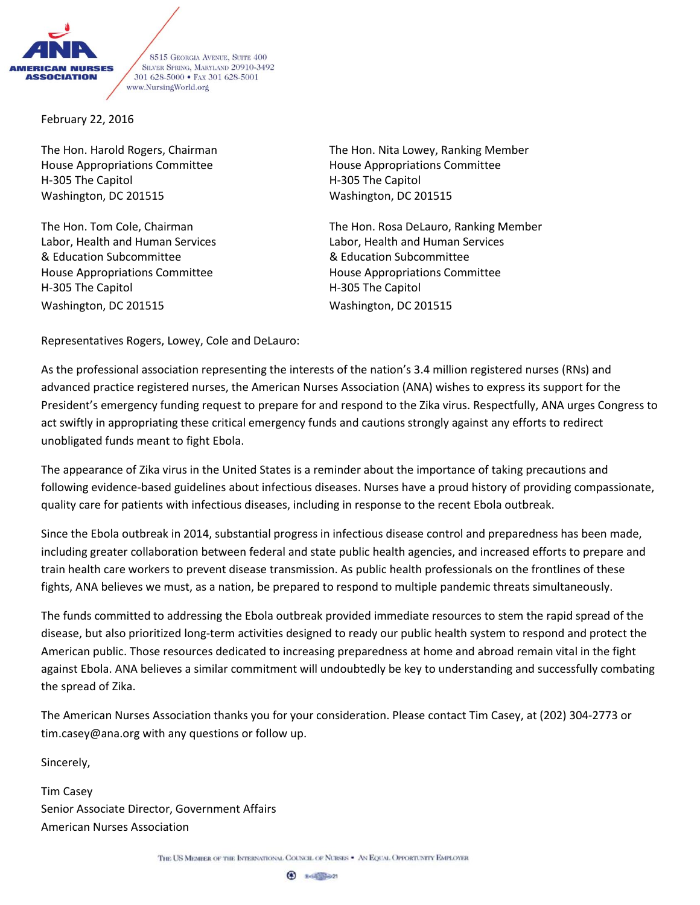

8515 GEORGIA AVENUE, SUITE 400 SILVER SPRING, MARYLAND 20910-3492 301 628-5000 · FAX 301 628-5001 www.NursingWorld.org

February 22, 2016

House Appropriations Committee **House Appropriations Committee** H-305 The Capitol H-305 The Capitol Washington, DC 201515 Washington, DC 201515

& Education Subcommittee & Education Subcommittee House Appropriations Committee House Appropriations Committee H-305 The Capitol **H-305 The Capitol** Washington, DC 201515 Washington, DC 201515

The Hon. Harold Rogers, Chairman The Hon. Nita Lowey, Ranking Member

The Hon. Tom Cole, Chairman The Hon. Rosa DeLauro, Ranking Member Labor, Health and Human Services Labor, Health and Human Services

Representatives Rogers, Lowey, Cole and DeLauro:

As the professional association representing the interests of the nation's 3.4 million registered nurses (RNs) and advanced practice registered nurses, the American Nurses Association (ANA) wishes to express its support for the President's emergency funding request to prepare for and respond to the Zika virus. Respectfully, ANA urges Congress to act swiftly in appropriating these critical emergency funds and cautions strongly against any efforts to redirect unobligated funds meant to fight Ebola.

The appearance of Zika virus in the United States is a reminder about the importance of taking precautions and following evidence-based guidelines about infectious diseases. Nurses have a proud history of providing compassionate, quality care for patients with infectious diseases, including in response to the recent Ebola outbreak.

Since the Ebola outbreak in 2014, substantial progress in infectious disease control and preparedness has been made, including greater collaboration between federal and state public health agencies, and increased efforts to prepare and train health care workers to prevent disease transmission. As public health professionals on the frontlines of these fights, ANA believes we must, as a nation, be prepared to respond to multiple pandemic threats simultaneously.

The funds committed to addressing the Ebola outbreak provided immediate resources to stem the rapid spread of the disease, but also prioritized long-term activities designed to ready our public health system to respond and protect the American public. Those resources dedicated to increasing preparedness at home and abroad remain vital in the fight against Ebola. ANA believes a similar commitment will undoubtedly be key to understanding and successfully combating the spread of Zika.

The American Nurses Association thanks you for your consideration. Please contact Tim Casey, at (202) 304-2773 or tim.casey@ana.org with any questions or follow up.

Sincerely,

Tim Casey Senior Associate Director, Government Affairs American Nurses Association

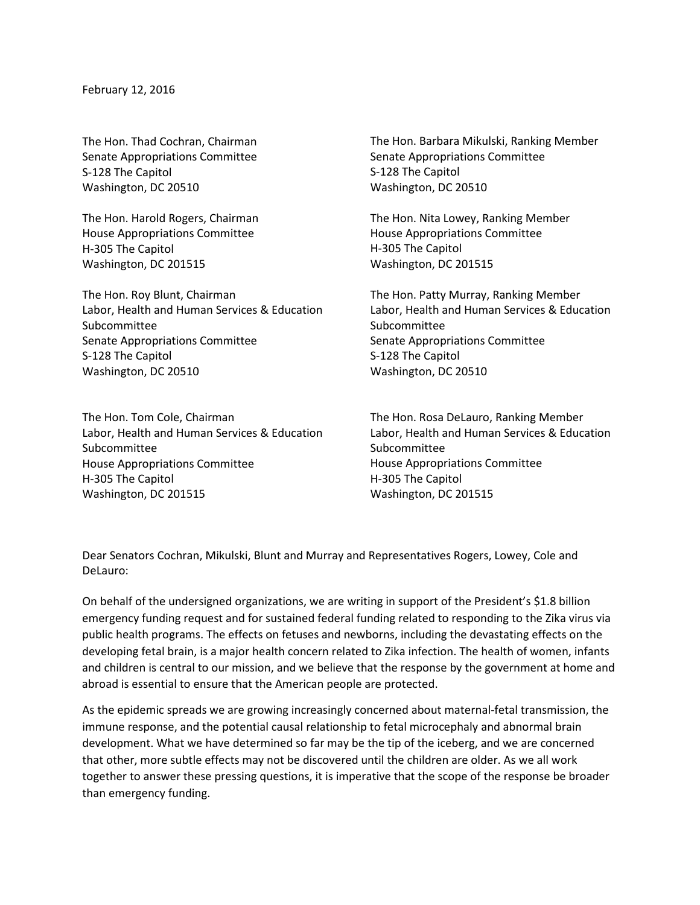February 12, 2016

The Hon. Thad Cochran, Chairman Senate Appropriations Committee S-128 The Capitol Washington, DC 20510

The Hon. Harold Rogers, Chairman House Appropriations Committee H-305 The Capitol Washington, DC 201515

The Hon. Roy Blunt, Chairman Labor, Health and Human Services & Education Subcommittee Senate Appropriations Committee S-128 The Capitol Washington, DC 20510

The Hon. Tom Cole, Chairman Labor, Health and Human Services & Education Subcommittee House Appropriations Committee H-305 The Capitol Washington, DC 201515

The Hon. Barbara Mikulski, Ranking Member Senate Appropriations Committee S-128 The Capitol Washington, DC 20510

The Hon. Nita Lowey, Ranking Member House Appropriations Committee H-305 The Capitol Washington, DC 201515

The Hon. Patty Murray, Ranking Member Labor, Health and Human Services & Education Subcommittee Senate Appropriations Committee S-128 The Capitol Washington, DC 20510

The Hon. Rosa DeLauro, Ranking Member Labor, Health and Human Services & Education Subcommittee House Appropriations Committee H-305 The Capitol Washington, DC 201515

Dear Senators Cochran, Mikulski, Blunt and Murray and Representatives Rogers, Lowey, Cole and DeLauro:

On behalf of the undersigned organizations, we are writing in support of the President's \$1.8 billion emergency funding request and for sustained federal funding related to responding to the Zika virus via public health programs. The effects on fetuses and newborns, including the devastating effects on the developing fetal brain, is a major health concern related to Zika infection. The health of women, infants and children is central to our mission, and we believe that the response by the government at home and abroad is essential to ensure that the American people are protected.

As the epidemic spreads we are growing increasingly concerned about maternal-fetal transmission, the immune response, and the potential causal relationship to fetal microcephaly and abnormal brain development. What we have determined so far may be the tip of the iceberg, and we are concerned that other, more subtle effects may not be discovered until the children are older. As we all work together to answer these pressing questions, it is imperative that the scope of the response be broader than emergency funding.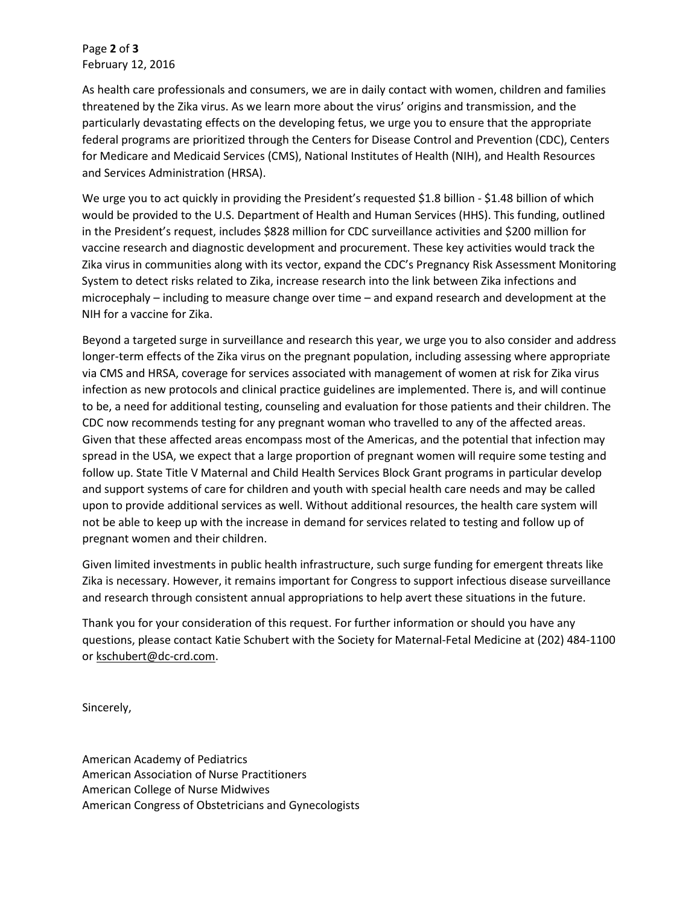Page **2** of **3** February 12, 2016

As health care professionals and consumers, we are in daily contact with women, children and families threatened by the Zika virus. As we learn more about the virus' origins and transmission, and the particularly devastating effects on the developing fetus, we urge you to ensure that the appropriate federal programs are prioritized through the Centers for Disease Control and Prevention (CDC), Centers for Medicare and Medicaid Services (CMS), National Institutes of Health (NIH), and Health Resources and Services Administration (HRSA).

We urge you to act quickly in providing the President's requested \$1.8 billion - \$1.48 billion of which would be provided to the U.S. Department of Health and Human Services (HHS). This funding, outlined in the President's request, includes \$828 million for CDC surveillance activities and \$200 million for vaccine research and diagnostic development and procurement. These key activities would track the Zika virus in communities along with its vector, expand the CDC's Pregnancy Risk Assessment Monitoring System to detect risks related to Zika, increase research into the link between Zika infections and microcephaly – including to measure change over time – and expand research and development at the NIH for a vaccine for Zika.

Beyond a targeted surge in surveillance and research this year, we urge you to also consider and address longer-term effects of the Zika virus on the pregnant population, including assessing where appropriate via CMS and HRSA, coverage for services associated with management of women at risk for Zika virus infection as new protocols and clinical practice guidelines are implemented. There is, and will continue to be, a need for additional testing, counseling and evaluation for those patients and their children. The CDC now recommends testing for any pregnant woman who travelled to any of the affected areas. Given that these affected areas encompass most of the Americas, and the potential that infection may spread in the USA, we expect that a large proportion of pregnant women will require some testing and follow up. State Title V Maternal and Child Health Services Block Grant programs in particular develop and support systems of care for children and youth with special health care needs and may be called upon to provide additional services as well. Without additional resources, the health care system will not be able to keep up with the increase in demand for services related to testing and follow up of pregnant women and their children.

Given limited investments in public health infrastructure, such surge funding for emergent threats like Zika is necessary. However, it remains important for Congress to support infectious disease surveillance and research through consistent annual appropriations to help avert these situations in the future.

Thank you for your consideration of this request. For further information or should you have any questions, please contact Katie Schubert with the Society for Maternal-Fetal Medicine at (202) 484-1100 or [kschubert@dc-crd.com.](mailto:kschubert@dc-crd.com)

Sincerely,

American Academy of Pediatrics American Association of Nurse Practitioners American College of Nurse Midwives American Congress of Obstetricians and Gynecologists